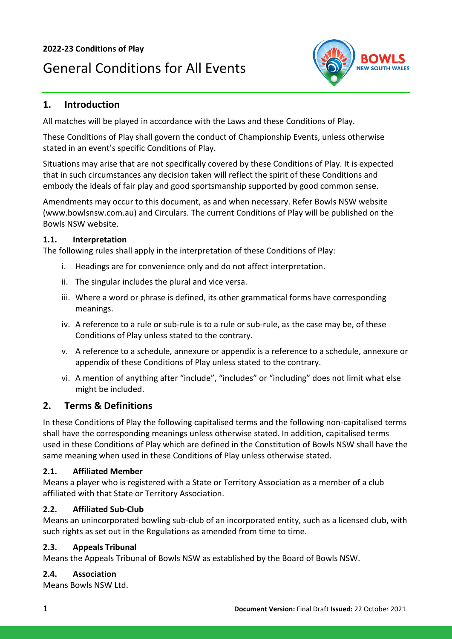### **2022-23 Conditions of Play**

# General Conditions for All Events



### **1. Introduction**

All matches will be played in accordance with the Laws and these Conditions of Play.

These Conditions of Play shall govern the conduct of Championship Events, unless otherwise stated in an event's specific Conditions of Play.

Situations may arise that are not specifically covered by these Conditions of Play. It is expected that in such circumstances any decision taken will reflect the spirit of these Conditions and embody the ideals of fair play and good sportsmanship supported by good common sense.

Amendments may occur to this document, as and when necessary. Refer Bowls NSW website (www.bowlsnsw.com.au) and Circulars. The current Conditions of Play will be published on the Bowls NSW website.

### **1.1. Interpretation**

The following rules shall apply in the interpretation of these Conditions of Play:

- i. Headings are for convenience only and do not affect interpretation.
- ii. The singular includes the plural and vice versa.
- iii. Where a word or phrase is defined, its other grammatical forms have corresponding meanings.
- iv. A reference to a rule or sub-rule is to a rule or sub-rule, as the case may be, of these Conditions of Play unless stated to the contrary.
- v. A reference to a schedule, annexure or appendix is a reference to a schedule, annexure or appendix of these Conditions of Play unless stated to the contrary.
- vi. A mention of anything after "include", "includes" or "including" does not limit what else might be included.

### **2. Terms & Definitions**

In these Conditions of Play the following capitalised terms and the following non-capitalised terms shall have the corresponding meanings unless otherwise stated. In addition, capitalised terms used in these Conditions of Play which are defined in the Constitution of Bowls NSW shall have the same meaning when used in these Conditions of Play unless otherwise stated.

### **2.1. Affiliated Member**

Means a player who is registered with a State or Territory Association as a member of a club affiliated with that State or Territory Association.

### **2.2. Affiliated Sub-Club**

Means an unincorporated bowling sub-club of an incorporated entity, such as a licensed club, with such rights as set out in the Regulations as amended from time to time.

### **2.3. Appeals Tribunal**

Means the Appeals Tribunal of Bowls NSW as established by the Board of Bowls NSW.

### **2.4. Association**

Means Bowls NSW Ltd.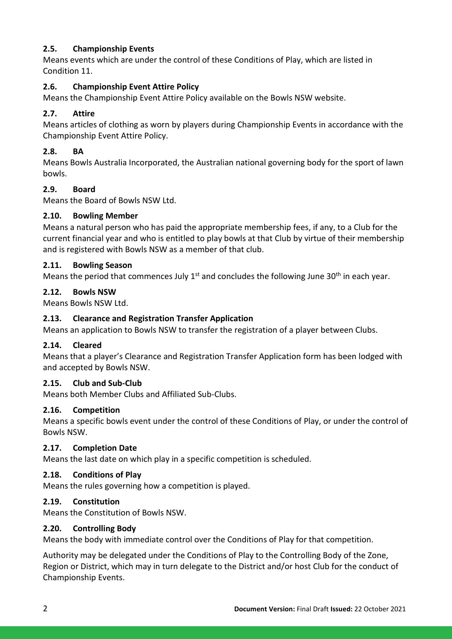### **2.5. Championship Events**

Means events which are under the control of these Conditions of Play, which are listed in Condition 11.

### **2.6. Championship Event Attire Policy**

Means the Championship Event Attire Policy available on the Bowls NSW website.

### **2.7. Attire**

Means articles of clothing as worn by players during Championship Events in accordance with the Championship Event Attire Policy.

### **2.8. BA**

Means Bowls Australia Incorporated, the Australian national governing body for the sport of lawn bowls.

### **2.9. Board**

Means the Board of Bowls NSW Ltd.

### **2.10. Bowling Member**

Means a natural person who has paid the appropriate membership fees, if any, to a Club for the current financial year and who is entitled to play bowls at that Club by virtue of their membership and is registered with Bowls NSW as a member of that club.

### **2.11. Bowling Season**

Means the period that commences July  $1<sup>st</sup>$  and concludes the following June 30<sup>th</sup> in each year.

### **2.12. Bowls NSW**

Means Bowls NSW Ltd.

### **2.13. Clearance and Registration Transfer Application**

Means an application to Bowls NSW to transfer the registration of a player between Clubs.

### **2.14. Cleared**

Means that a player's Clearance and Registration Transfer Application form has been lodged with and accepted by Bowls NSW.

### **2.15. Club and Sub-Club**

Means both Member Clubs and Affiliated Sub-Clubs.

### **2.16. Competition**

Means a specific bowls event under the control of these Conditions of Play, or under the control of Bowls NSW.

### **2.17. Completion Date**

Means the last date on which play in a specific competition is scheduled.

### **2.18. Conditions of Play**

Means the rules governing how a competition is played.

### **2.19. Constitution**

Means the Constitution of Bowls NSW.

#### **2.20. Controlling Body**

Means the body with immediate control over the Conditions of Play for that competition.

Authority may be delegated under the Conditions of Play to the Controlling Body of the Zone, Region or District, which may in turn delegate to the District and/or host Club for the conduct of Championship Events.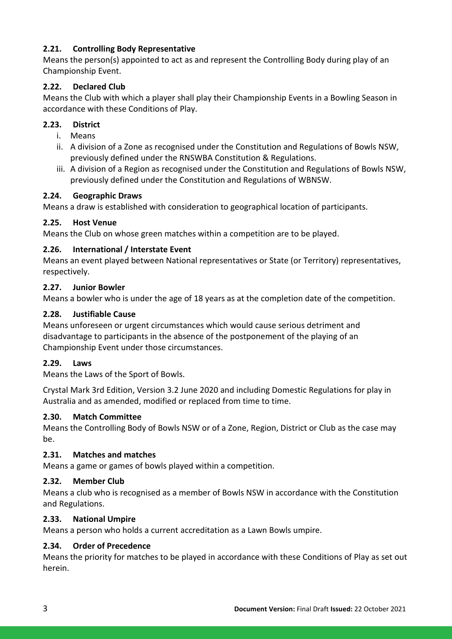### **2.21. Controlling Body Representative**

Means the person(s) appointed to act as and represent the Controlling Body during play of an Championship Event.

### **2.22. Declared Club**

Means the Club with which a player shall play their Championship Events in a Bowling Season in accordance with these Conditions of Play.

### **2.23. District**

- i. Means
- ii. A division of a Zone as recognised under the Constitution and Regulations of Bowls NSW, previously defined under the RNSWBA Constitution & Regulations.
- iii. A division of a Region as recognised under the Constitution and Regulations of Bowls NSW, previously defined under the Constitution and Regulations of WBNSW.

### **2.24. Geographic Draws**

Means a draw is established with consideration to geographical location of participants.

### **2.25. Host Venue**

Means the Club on whose green matches within a competition are to be played.

### **2.26. International / Interstate Event**

Means an event played between National representatives or State (or Territory) representatives, respectively.

### **2.27. Junior Bowler**

Means a bowler who is under the age of 18 years as at the completion date of the competition.

### **2.28. Justifiable Cause**

Means unforeseen or urgent circumstances which would cause serious detriment and disadvantage to participants in the absence of the postponement of the playing of an Championship Event under those circumstances.

### **2.29. Laws**

Means the Laws of the Sport of Bowls.

Crystal Mark 3rd Edition, Version 3.2 June 2020 and including Domestic Regulations for play in Australia and as amended, modified or replaced from time to time.

### **2.30. Match Committee**

Means the Controlling Body of Bowls NSW or of a Zone, Region, District or Club as the case may be.

### **2.31. Matches and matches**

Means a game or games of bowls played within a competition.

### **2.32. Member Club**

Means a club who is recognised as a member of Bowls NSW in accordance with the Constitution and Regulations.

### **2.33. National Umpire**

Means a person who holds a current accreditation as a Lawn Bowls umpire.

### **2.34. Order of Precedence**

Means the priority for matches to be played in accordance with these Conditions of Play as set out herein.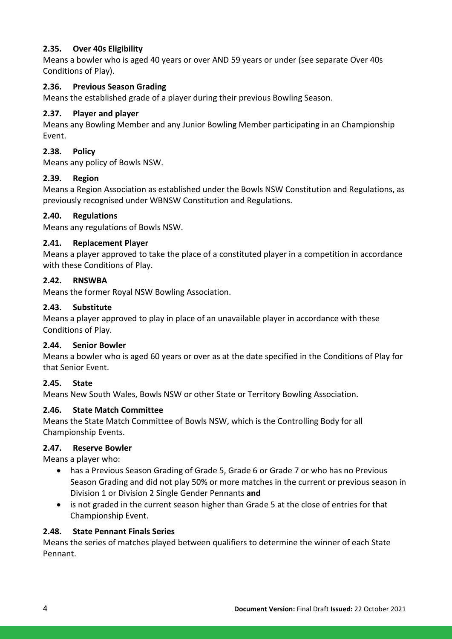### **2.35. Over 40s Eligibility**

Means a bowler who is aged 40 years or over AND 59 years or under (see separate Over 40s Conditions of Play).

### **2.36. Previous Season Grading**

Means the established grade of a player during their previous Bowling Season.

### **2.37. Player and player**

Means any Bowling Member and any Junior Bowling Member participating in an Championship Event.

### **2.38. Policy**

Means any policy of Bowls NSW.

### **2.39. Region**

Means a Region Association as established under the Bowls NSW Constitution and Regulations, as previously recognised under WBNSW Constitution and Regulations.

### **2.40. Regulations**

Means any regulations of Bowls NSW.

### **2.41. Replacement Player**

Means a player approved to take the place of a constituted player in a competition in accordance with these Conditions of Play.

### **2.42. RNSWBA**

Means the former Royal NSW Bowling Association.

### **2.43. Substitute**

Means a player approved to play in place of an unavailable player in accordance with these Conditions of Play.

### **2.44. Senior Bowler**

Means a bowler who is aged 60 years or over as at the date specified in the Conditions of Play for that Senior Event.

### **2.45. State**

Means New South Wales, Bowls NSW or other State or Territory Bowling Association.

### **2.46. State Match Committee**

Means the State Match Committee of Bowls NSW, which is the Controlling Body for all Championship Events.

### **2.47. Reserve Bowler**

Means a player who:

- has a Previous Season Grading of Grade 5, Grade 6 or Grade 7 or who has no Previous Season Grading and did not play 50% or more matches in the current or previous season in Division 1 or Division 2 Single Gender Pennants **and**
- is not graded in the current season higher than Grade 5 at the close of entries for that Championship Event.

#### **2.48. State Pennant Finals Series**

Means the series of matches played between qualifiers to determine the winner of each State Pennant.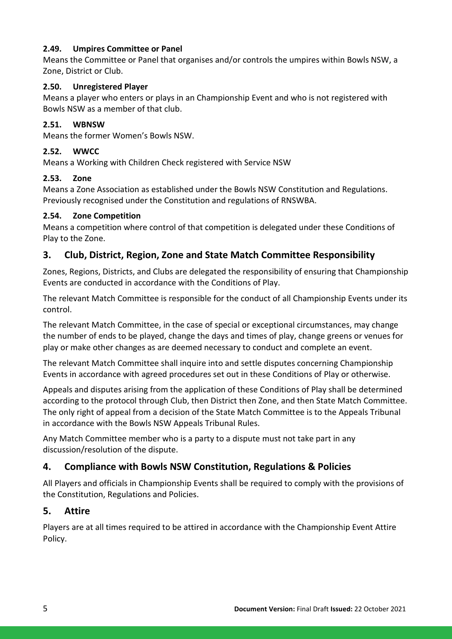### **2.49. Umpires Committee or Panel**

Means the Committee or Panel that organises and/or controls the umpires within Bowls NSW, a Zone, District or Club.

### **2.50. Unregistered Player**

Means a player who enters or plays in an Championship Event and who is not registered with Bowls NSW as a member of that club.

### **2.51. WBNSW**

Means the former Women's Bowls NSW.

### **2.52. WWCC**

Means a Working with Children Check registered with Service NSW

### **2.53. Zone**

Means a Zone Association as established under the Bowls NSW Constitution and Regulations. Previously recognised under the Constitution and regulations of RNSWBA.

### **2.54. Zone Competition**

Means a competition where control of that competition is delegated under these Conditions of Play to the Zone.

### **3. Club, District, Region, Zone and State Match Committee Responsibility**

Zones, Regions, Districts, and Clubs are delegated the responsibility of ensuring that Championship Events are conducted in accordance with the Conditions of Play.

The relevant Match Committee is responsible for the conduct of all Championship Events under its control.

The relevant Match Committee, in the case of special or exceptional circumstances, may change the number of ends to be played, change the days and times of play, change greens or venues for play or make other changes as are deemed necessary to conduct and complete an event.

The relevant Match Committee shall inquire into and settle disputes concerning Championship Events in accordance with agreed procedures set out in these Conditions of Play or otherwise.

Appeals and disputes arising from the application of these Conditions of Play shall be determined according to the protocol through Club, then District then Zone, and then State Match Committee. The only right of appeal from a decision of the State Match Committee is to the Appeals Tribunal in accordance with the Bowls NSW Appeals Tribunal Rules.

Any Match Committee member who is a party to a dispute must not take part in any discussion/resolution of the dispute.

# **4. Compliance with Bowls NSW Constitution, Regulations & Policies**

All Players and officials in Championship Events shall be required to comply with the provisions of the Constitution, Regulations and Policies.

### **5. Attire**

Players are at all times required to be attired in accordance with the Championship Event Attire Policy.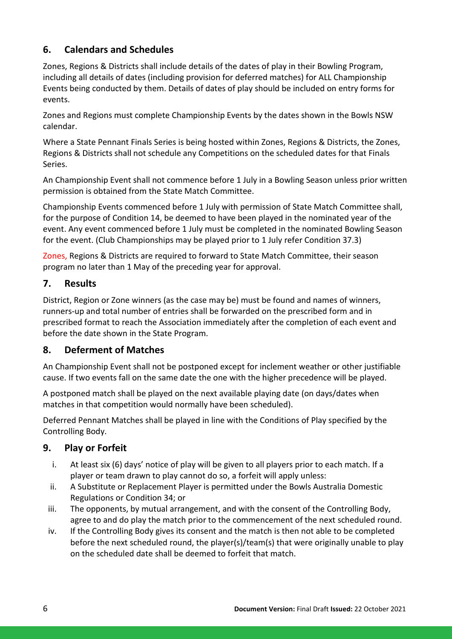# **6. Calendars and Schedules**

Zones, Regions & Districts shall include details of the dates of play in their Bowling Program, including all details of dates (including provision for deferred matches) for ALL Championship Events being conducted by them. Details of dates of play should be included on entry forms for events.

Zones and Regions must complete Championship Events by the dates shown in the Bowls NSW calendar.

Where a State Pennant Finals Series is being hosted within Zones, Regions & Districts, the Zones, Regions & Districts shall not schedule any Competitions on the scheduled dates for that Finals Series.

An Championship Event shall not commence before 1 July in a Bowling Season unless prior written permission is obtained from the State Match Committee.

Championship Events commenced before 1 July with permission of State Match Committee shall, for the purpose of Condition 14, be deemed to have been played in the nominated year of the event. Any event commenced before 1 July must be completed in the nominated Bowling Season for the event. (Club Championships may be played prior to 1 July refer Condition 37.3)

Zones, Regions & Districts are required to forward to State Match Committee, their season program no later than 1 May of the preceding year for approval.

### **7. Results**

District, Region or Zone winners (as the case may be) must be found and names of winners, runners-up and total number of entries shall be forwarded on the prescribed form and in prescribed format to reach the Association immediately after the completion of each event and before the date shown in the State Program.

### **8. Deferment of Matches**

An Championship Event shall not be postponed except for inclement weather or other justifiable cause. If two events fall on the same date the one with the higher precedence will be played.

A postponed match shall be played on the next available playing date (on days/dates when matches in that competition would normally have been scheduled).

Deferred Pennant Matches shall be played in line with the Conditions of Play specified by the Controlling Body.

### **9. Play or Forfeit**

- i. At least six (6) days' notice of play will be given to all players prior to each match. If a player or team drawn to play cannot do so, a forfeit will apply unless:
- ii. A Substitute or Replacement Player is permitted under the Bowls Australia Domestic Regulations or Condition 34; or
- iii. The opponents, by mutual arrangement, and with the consent of the Controlling Body, agree to and do play the match prior to the commencement of the next scheduled round.
- iv. If the Controlling Body gives its consent and the match is then not able to be completed before the next scheduled round, the player(s)/team(s) that were originally unable to play on the scheduled date shall be deemed to forfeit that match.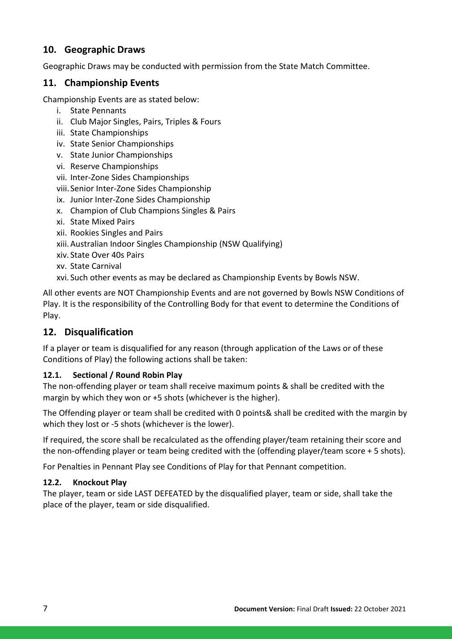# **10. Geographic Draws**

Geographic Draws may be conducted with permission from the State Match Committee.

### **11. Championship Events**

Championship Events are as stated below:

- i. State Pennants
- ii. Club Major Singles, Pairs, Triples & Fours
- iii. State Championships
- iv. State Senior Championships
- v. State Junior Championships
- vi. Reserve Championships
- vii. Inter-Zone Sides Championships
- viii.Senior Inter-Zone Sides Championship
- ix. Junior Inter-Zone Sides Championship
- x. Champion of Club Champions Singles & Pairs
- xi. State Mixed Pairs
- xii. Rookies Singles and Pairs
- xiii.Australian Indoor Singles Championship (NSW Qualifying)
- xiv. State Over 40s Pairs
- xv. State Carnival
- xvi. Such other events as may be declared as Championship Events by Bowls NSW.

All other events are NOT Championship Events and are not governed by Bowls NSW Conditions of Play. It is the responsibility of the Controlling Body for that event to determine the Conditions of Play.

### **12. Disqualification**

If a player or team is disqualified for any reason (through application of the Laws or of these Conditions of Play) the following actions shall be taken:

### **12.1. Sectional / Round Robin Play**

The non-offending player or team shall receive maximum points & shall be credited with the margin by which they won or +5 shots (whichever is the higher).

The Offending player or team shall be credited with 0 points& shall be credited with the margin by which they lost or -5 shots (whichever is the lower).

If required, the score shall be recalculated as the offending player/team retaining their score and the non-offending player or team being credited with the (offending player/team score + 5 shots).

For Penalties in Pennant Play see Conditions of Play for that Pennant competition.

#### **12.2. Knockout Play**

The player, team or side LAST DEFEATED by the disqualified player, team or side, shall take the place of the player, team or side disqualified.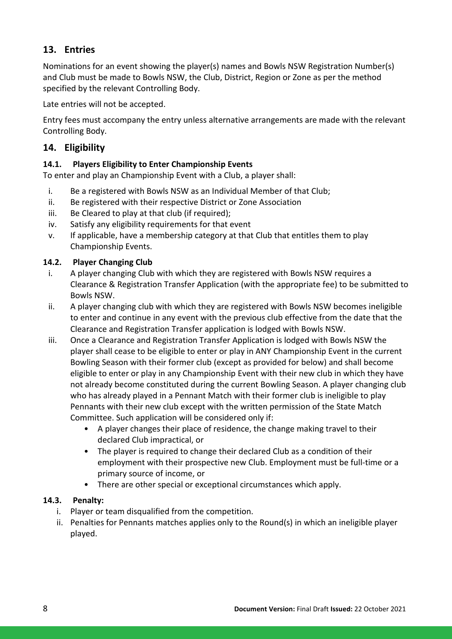# **13. Entries**

Nominations for an event showing the player(s) names and Bowls NSW Registration Number(s) and Club must be made to Bowls NSW, the Club, District, Region or Zone as per the method specified by the relevant Controlling Body.

Late entries will not be accepted.

Entry fees must accompany the entry unless alternative arrangements are made with the relevant Controlling Body.

# **14. Eligibility**

### **14.1. Players Eligibility to Enter Championship Events**

To enter and play an Championship Event with a Club, a player shall:

- i. Be a registered with Bowls NSW as an Individual Member of that Club;
- ii. Be registered with their respective District or Zone Association
- iii. Be Cleared to play at that club (if required);
- iv. Satisfy any eligibility requirements for that event
- v. If applicable, have a membership category at that Club that entitles them to play Championship Events.

### **14.2. Player Changing Club**

- i. A player changing Club with which they are registered with Bowls NSW requires a Clearance & Registration Transfer Application (with the appropriate fee) to be submitted to Bowls NSW.
- ii. A player changing club with which they are registered with Bowls NSW becomes ineligible to enter and continue in any event with the previous club effective from the date that the Clearance and Registration Transfer application is lodged with Bowls NSW.
- iii. Once a Clearance and Registration Transfer Application is lodged with Bowls NSW the player shall cease to be eligible to enter or play in ANY Championship Event in the current Bowling Season with their former club (except as provided for below) and shall become eligible to enter or play in any Championship Event with their new club in which they have not already become constituted during the current Bowling Season. A player changing club who has already played in a Pennant Match with their former club is ineligible to play Pennants with their new club except with the written permission of the State Match Committee. Such application will be considered only if:
	- A player changes their place of residence, the change making travel to their declared Club impractical, or
	- The player is required to change their declared Club as a condition of their employment with their prospective new Club. Employment must be full-time or a primary source of income, or
	- There are other special or exceptional circumstances which apply.

### **14.3. Penalty:**

- i. Player or team disqualified from the competition.
- ii. Penalties for Pennants matches applies only to the Round(s) in which an ineligible player played.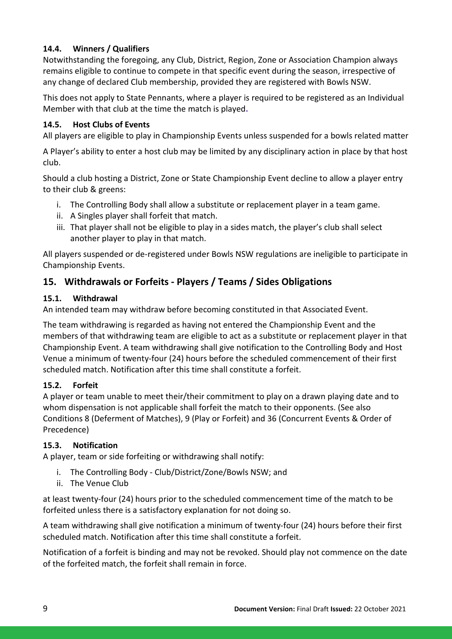### **14.4. Winners / Qualifiers**

Notwithstanding the foregoing, any Club, District, Region, Zone or Association Champion always remains eligible to continue to compete in that specific event during the season, irrespective of any change of declared Club membership, provided they are registered with Bowls NSW.

This does not apply to State Pennants, where a player is required to be registered as an Individual Member with that club at the time the match is played**.** 

### **14.5. Host Clubs of Events**

All players are eligible to play in Championship Events unless suspended for a bowls related matter

A Player's ability to enter a host club may be limited by any disciplinary action in place by that host club.

Should a club hosting a District, Zone or State Championship Event decline to allow a player entry to their club & greens:

- i. The Controlling Body shall allow a substitute or replacement player in a team game.
- ii. A Singles player shall forfeit that match.
- iii. That player shall not be eligible to play in a sides match, the player's club shall select another player to play in that match.

All players suspended or de-registered under Bowls NSW regulations are ineligible to participate in Championship Events.

# **15. Withdrawals or Forfeits - Players / Teams / Sides Obligations**

### **15.1. Withdrawal**

An intended team may withdraw before becoming constituted in that Associated Event.

The team withdrawing is regarded as having not entered the Championship Event and the members of that withdrawing team are eligible to act as a substitute or replacement player in that Championship Event. A team withdrawing shall give notification to the Controlling Body and Host Venue a minimum of twenty-four (24) hours before the scheduled commencement of their first scheduled match. Notification after this time shall constitute a forfeit.

### **15.2. Forfeit**

A player or team unable to meet their/their commitment to play on a drawn playing date and to whom dispensation is not applicable shall forfeit the match to their opponents. (See also Conditions 8 (Deferment of Matches), 9 (Play or Forfeit) and 36 (Concurrent Events & Order of Precedence)

### **15.3. Notification**

A player, team or side forfeiting or withdrawing shall notify:

- i. The Controlling Body Club/District/Zone/Bowls NSW; and
- ii. The Venue Club

at least twenty-four (24) hours prior to the scheduled commencement time of the match to be forfeited unless there is a satisfactory explanation for not doing so.

A team withdrawing shall give notification a minimum of twenty-four (24) hours before their first scheduled match. Notification after this time shall constitute a forfeit.

Notification of a forfeit is binding and may not be revoked. Should play not commence on the date of the forfeited match, the forfeit shall remain in force.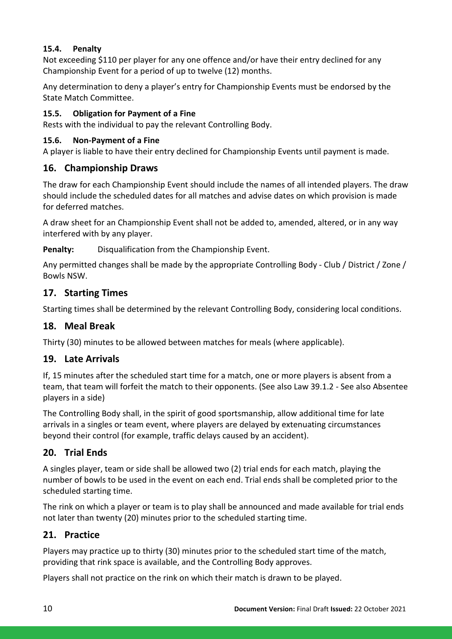### **15.4. Penalty**

Not exceeding \$110 per player for any one offence and/or have their entry declined for any Championship Event for a period of up to twelve (12) months.

Any determination to deny a player's entry for Championship Events must be endorsed by the State Match Committee.

### **15.5. Obligation for Payment of a Fine**

Rests with the individual to pay the relevant Controlling Body.

### **15.6. Non-Payment of a Fine**

A player is liable to have their entry declined for Championship Events until payment is made.

### **16. Championship Draws**

The draw for each Championship Event should include the names of all intended players. The draw should include the scheduled dates for all matches and advise dates on which provision is made for deferred matches.

A draw sheet for an Championship Event shall not be added to, amended, altered, or in any way interfered with by any player.

**Penalty:** Disqualification from the Championship Event.

Any permitted changes shall be made by the appropriate Controlling Body - Club / District / Zone / Bowls NSW.

### **17. Starting Times**

Starting times shall be determined by the relevant Controlling Body, considering local conditions.

### **18. Meal Break**

Thirty (30) minutes to be allowed between matches for meals (where applicable).

### **19. Late Arrivals**

If, 15 minutes after the scheduled start time for a match, one or more players is absent from a team, that team will forfeit the match to their opponents. (See also Law 39.1.2 - See also Absentee players in a side)

The Controlling Body shall, in the spirit of good sportsmanship, allow additional time for late arrivals in a singles or team event, where players are delayed by extenuating circumstances beyond their control (for example, traffic delays caused by an accident).

# **20. Trial Ends**

A singles player, team or side shall be allowed two (2) trial ends for each match, playing the number of bowls to be used in the event on each end. Trial ends shall be completed prior to the scheduled starting time.

The rink on which a player or team is to play shall be announced and made available for trial ends not later than twenty (20) minutes prior to the scheduled starting time.

### **21. Practice**

Players may practice up to thirty (30) minutes prior to the scheduled start time of the match, providing that rink space is available, and the Controlling Body approves.

Players shall not practice on the rink on which their match is drawn to be played.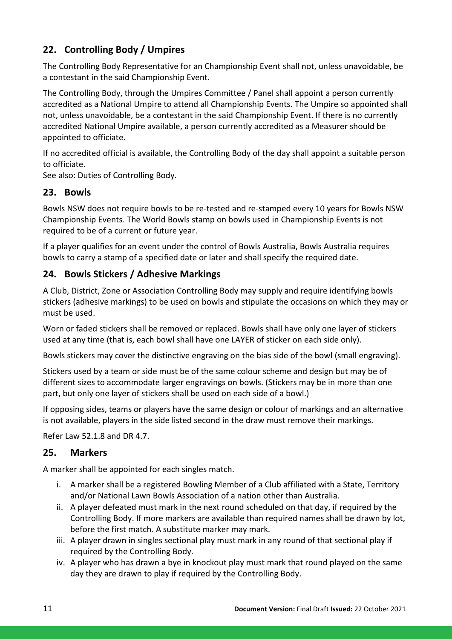# **22. Controlling Body / Umpires**

The Controlling Body Representative for an Championship Event shall not, unless unavoidable, be a contestant in the said Championship Event.

The Controlling Body, through the Umpires Committee / Panel shall appoint a person currently accredited as a National Umpire to attend all Championship Events. The Umpire so appointed shall not, unless unavoidable, be a contestant in the said Championship Event. If there is no currently accredited National Umpire available, a person currently accredited as a Measurer should be appointed to officiate.

If no accredited official is available, the Controlling Body of the day shall appoint a suitable person to officiate.

See also: Duties of Controlling Body.

### **23. Bowls**

Bowls NSW does not require bowls to be re-tested and re-stamped every 10 years for Bowls NSW Championship Events. The World Bowls stamp on bowls used in Championship Events is not required to be of a current or future year.

If a player qualifies for an event under the control of Bowls Australia, Bowls Australia requires bowls to carry a stamp of a specified date or later and shall specify the required date.

# **24. Bowls Stickers / Adhesive Markings**

A Club, District, Zone or Association Controlling Body may supply and require identifying bowls stickers (adhesive markings) to be used on bowls and stipulate the occasions on which they may or must be used.

Worn or faded stickers shall be removed or replaced. Bowls shall have only one layer of stickers used at any time (that is, each bowl shall have one LAYER of sticker on each side only).

Bowls stickers may cover the distinctive engraving on the bias side of the bowl (small engraving).

Stickers used by a team or side must be of the same colour scheme and design but may be of different sizes to accommodate larger engravings on bowls. (Stickers may be in more than one part, but only one layer of stickers shall be used on each side of a bowl.)

If opposing sides, teams or players have the same design or colour of markings and an alternative is not available, players in the side listed second in the draw must remove their markings.

Refer Law 52.1.8 and DR 4.7.

# **25. Markers**

A marker shall be appointed for each singles match.

- i. A marker shall be a registered Bowling Member of a Club affiliated with a State, Territory and/or National Lawn Bowls Association of a nation other than Australia.
- ii. A player defeated must mark in the next round scheduled on that day, if required by the Controlling Body. If more markers are available than required names shall be drawn by lot, before the first match. A substitute marker may mark.
- iii. A player drawn in singles sectional play must mark in any round of that sectional play if required by the Controlling Body.
- iv. A player who has drawn a bye in knockout play must mark that round played on the same day they are drawn to play if required by the Controlling Body.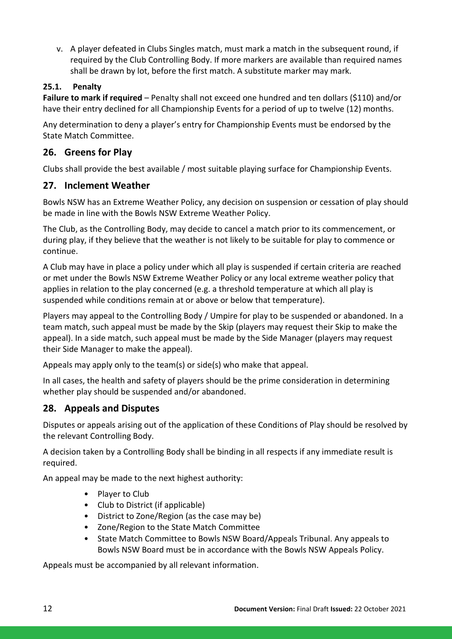v. A player defeated in Clubs Singles match, must mark a match in the subsequent round, if required by the Club Controlling Body. If more markers are available than required names shall be drawn by lot, before the first match. A substitute marker may mark.

### **25.1. Penalty**

**Failure to mark if required** – Penalty shall not exceed one hundred and ten dollars (\$110) and/or have their entry declined for all Championship Events for a period of up to twelve (12) months.

Any determination to deny a player's entry for Championship Events must be endorsed by the State Match Committee.

# **26. Greens for Play**

Clubs shall provide the best available / most suitable playing surface for Championship Events.

### **27. Inclement Weather**

Bowls NSW has an Extreme Weather Policy, any decision on suspension or cessation of play should be made in line with the Bowls NSW Extreme Weather Policy.

The Club, as the Controlling Body, may decide to cancel a match prior to its commencement, or during play, if they believe that the weather is not likely to be suitable for play to commence or continue.

A Club may have in place a policy under which all play is suspended if certain criteria are reached or met under the Bowls NSW Extreme Weather Policy or any local extreme weather policy that applies in relation to the play concerned (e.g. a threshold temperature at which all play is suspended while conditions remain at or above or below that temperature).

Players may appeal to the Controlling Body / Umpire for play to be suspended or abandoned. In a team match, such appeal must be made by the Skip (players may request their Skip to make the appeal). In a side match, such appeal must be made by the Side Manager (players may request their Side Manager to make the appeal).

Appeals may apply only to the team(s) or side(s) who make that appeal.

In all cases, the health and safety of players should be the prime consideration in determining whether play should be suspended and/or abandoned.

# **28. Appeals and Disputes**

Disputes or appeals arising out of the application of these Conditions of Play should be resolved by the relevant Controlling Body.

A decision taken by a Controlling Body shall be binding in all respects if any immediate result is required.

An appeal may be made to the next highest authority:

- Player to Club
- Club to District (if applicable)
- District to Zone/Region (as the case may be)
- Zone/Region to the State Match Committee
- State Match Committee to Bowls NSW Board/Appeals Tribunal. Any appeals to Bowls NSW Board must be in accordance with the Bowls NSW Appeals Policy.

Appeals must be accompanied by all relevant information.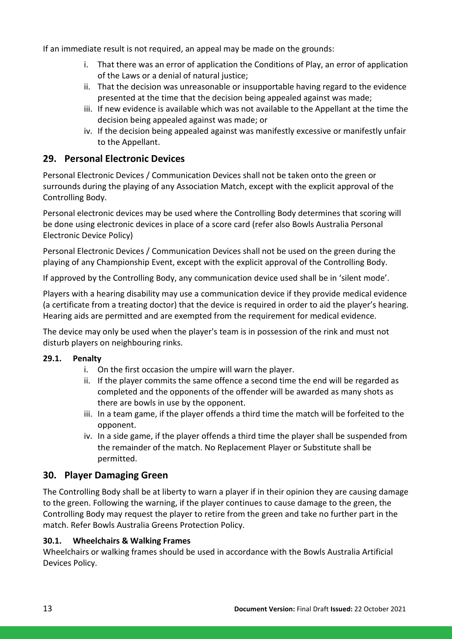If an immediate result is not required, an appeal may be made on the grounds:

- i. That there was an error of application the Conditions of Play, an error of application of the Laws or a denial of natural justice;
- ii. That the decision was unreasonable or insupportable having regard to the evidence presented at the time that the decision being appealed against was made;
- iii. If new evidence is available which was not available to the Appellant at the time the decision being appealed against was made; or
- iv. If the decision being appealed against was manifestly excessive or manifestly unfair to the Appellant.

### **29. Personal Electronic Devices**

Personal Electronic Devices / Communication Devices shall not be taken onto the green or surrounds during the playing of any Association Match, except with the explicit approval of the Controlling Body.

Personal electronic devices may be used where the Controlling Body determines that scoring will be done using electronic devices in place of a score card (refer also Bowls Australia Personal Electronic Device Policy)

Personal Electronic Devices / Communication Devices shall not be used on the green during the playing of any Championship Event, except with the explicit approval of the Controlling Body.

If approved by the Controlling Body, any communication device used shall be in 'silent mode'.

Players with a hearing disability may use a communication device if they provide medical evidence (a certificate from a treating doctor) that the device is required in order to aid the player's hearing. Hearing aids are permitted and are exempted from the requirement for medical evidence.

The device may only be used when the player's team is in possession of the rink and must not disturb players on neighbouring rinks.

### **29.1. Penalty**

- i. On the first occasion the umpire will warn the player.
- ii. If the player commits the same offence a second time the end will be regarded as completed and the opponents of the offender will be awarded as many shots as there are bowls in use by the opponent.
- iii. In a team game, if the player offends a third time the match will be forfeited to the opponent.
- iv. In a side game, if the player offends a third time the player shall be suspended from the remainder of the match. No Replacement Player or Substitute shall be permitted.

### **30. Player Damaging Green**

The Controlling Body shall be at liberty to warn a player if in their opinion they are causing damage to the green. Following the warning, if the player continues to cause damage to the green, the Controlling Body may request the player to retire from the green and take no further part in the match. Refer Bowls Australia Greens Protection Policy.

### **30.1. Wheelchairs & Walking Frames**

Wheelchairs or walking frames should be used in accordance with the Bowls Australia Artificial Devices Policy.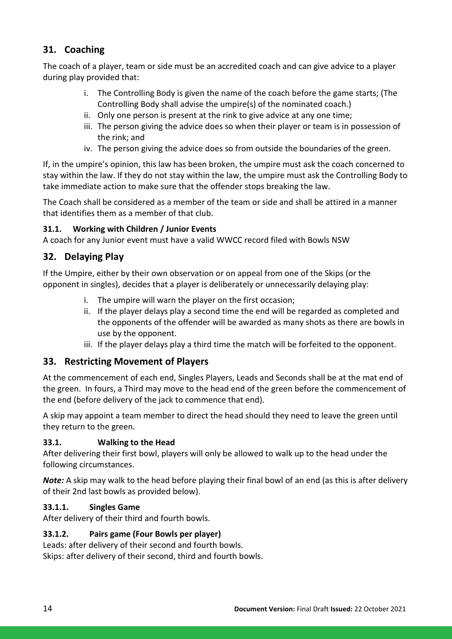# **31. Coaching**

The coach of a player, team or side must be an accredited coach and can give advice to a player during play provided that:

- i. The Controlling Body is given the name of the coach before the game starts; (The Controlling Body shall advise the umpire(s) of the nominated coach.)
- ii. Only one person is present at the rink to give advice at any one time;
- iii. The person giving the advice does so when their player or team is in possession of the rink; and
- iv. The person giving the advice does so from outside the boundaries of the green.

If, in the umpire's opinion, this law has been broken, the umpire must ask the coach concerned to stay within the law. If they do not stay within the law, the umpire must ask the Controlling Body to take immediate action to make sure that the offender stops breaking the law.

The Coach shall be considered as a member of the team or side and shall be attired in a manner that identifies them as a member of that club.

### **31.1. Working with Children / Junior Events**

A coach for any Junior event must have a valid WWCC record filed with Bowls NSW

### **32. Delaying Play**

If the Umpire, either by their own observation or on appeal from one of the Skips (or the opponent in singles), decides that a player is deliberately or unnecessarily delaying play:

- i. The umpire will warn the player on the first occasion;
- ii. If the player delays play a second time the end will be regarded as completed and the opponents of the offender will be awarded as many shots as there are bowls in use by the opponent.
- iii. If the player delays play a third time the match will be forfeited to the opponent.

### **33. Restricting Movement of Players**

At the commencement of each end, Singles Players, Leads and Seconds shall be at the mat end of the green. In fours, a Third may move to the head end of the green before the commencement of the end (before delivery of the jack to commence that end).

A skip may appoint a team member to direct the head should they need to leave the green until they return to the green.

### **33.1. Walking to the Head**

After delivering their first bowl, players will only be allowed to walk up to the head under the following circumstances.

*Note:* A skip may walk to the head before playing their final bowl of an end (as this is after delivery of their 2nd last bowls as provided below).

### **33.1.1. Singles Game**

After delivery of their third and fourth bowls.

### **33.1.2. Pairs game (Four Bowls per player)**

Leads: after delivery of their second and fourth bowls. Skips: after delivery of their second, third and fourth bowls.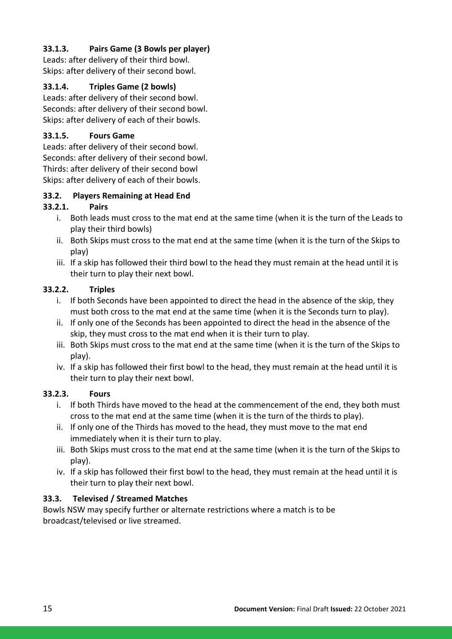### **33.1.3. Pairs Game (3 Bowls per player)**

Leads: after delivery of their third bowl. Skips: after delivery of their second bowl.

### **33.1.4. Triples Game (2 bowls)**

Leads: after delivery of their second bowl. Seconds: after delivery of their second bowl. Skips: after delivery of each of their bowls.

### **33.1.5. Fours Game**

Leads: after delivery of their second bowl. Seconds: after delivery of their second bowl. Thirds: after delivery of their second bowl Skips: after delivery of each of their bowls.

### **33.2. Players Remaining at Head End**

### **33.2.1. Pairs**

- i. Both leads must cross to the mat end at the same time (when it is the turn of the Leads to play their third bowls)
- ii. Both Skips must cross to the mat end at the same time (when it is the turn of the Skips to play)
- iii. If a skip has followed their third bowl to the head they must remain at the head until it is their turn to play their next bowl.

### **33.2.2. Triples**

- i. If both Seconds have been appointed to direct the head in the absence of the skip, they must both cross to the mat end at the same time (when it is the Seconds turn to play).
- ii. If only one of the Seconds has been appointed to direct the head in the absence of the skip, they must cross to the mat end when it is their turn to play.
- iii. Both Skips must cross to the mat end at the same time (when it is the turn of the Skips to play).
- iv. If a skip has followed their first bowl to the head, they must remain at the head until it is their turn to play their next bowl.

### **33.2.3. Fours**

- i. If both Thirds have moved to the head at the commencement of the end, they both must cross to the mat end at the same time (when it is the turn of the thirds to play).
- ii. If only one of the Thirds has moved to the head, they must move to the mat end immediately when it is their turn to play.
- iii. Both Skips must cross to the mat end at the same time (when it is the turn of the Skips to play).
- iv. If a skip has followed their first bowl to the head, they must remain at the head until it is their turn to play their next bowl.

### **33.3. Televised / Streamed Matches**

Bowls NSW may specify further or alternate restrictions where a match is to be broadcast/televised or live streamed.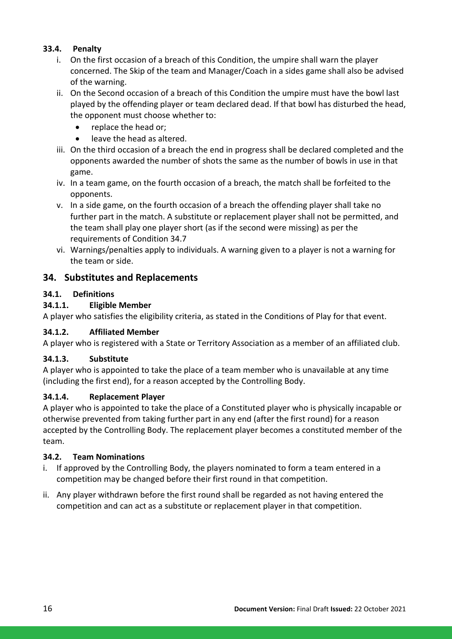### **33.4. Penalty**

- i. On the first occasion of a breach of this Condition, the umpire shall warn the player concerned. The Skip of the team and Manager/Coach in a sides game shall also be advised of the warning.
- ii. On the Second occasion of a breach of this Condition the umpire must have the bowl last played by the offending player or team declared dead. If that bowl has disturbed the head, the opponent must choose whether to:
	- replace the head or:
	- leave the head as altered.
- iii. On the third occasion of a breach the end in progress shall be declared completed and the opponents awarded the number of shots the same as the number of bowls in use in that game.
- iv. In a team game, on the fourth occasion of a breach, the match shall be forfeited to the opponents.
- v. In a side game, on the fourth occasion of a breach the offending player shall take no further part in the match. A substitute or replacement player shall not be permitted, and the team shall play one player short (as if the second were missing) as per the requirements of Condition 34.7
- vi. Warnings/penalties apply to individuals. A warning given to a player is not a warning for the team or side.

### **34. Substitutes and Replacements**

### **34.1. Definitions**

### **34.1.1. Eligible Member**

A player who satisfies the eligibility criteria, as stated in the Conditions of Play for that event.

### **34.1.2. Affiliated Member**

A player who is registered with a State or Territory Association as a member of an affiliated club.

### **34.1.3. Substitute**

A player who is appointed to take the place of a team member who is unavailable at any time (including the first end), for a reason accepted by the Controlling Body.

### **34.1.4. Replacement Player**

A player who is appointed to take the place of a Constituted player who is physically incapable or otherwise prevented from taking further part in any end (after the first round) for a reason accepted by the Controlling Body. The replacement player becomes a constituted member of the team.

### **34.2. Team Nominations**

- i. If approved by the Controlling Body, the players nominated to form a team entered in a competition may be changed before their first round in that competition.
- ii. Any player withdrawn before the first round shall be regarded as not having entered the competition and can act as a substitute or replacement player in that competition.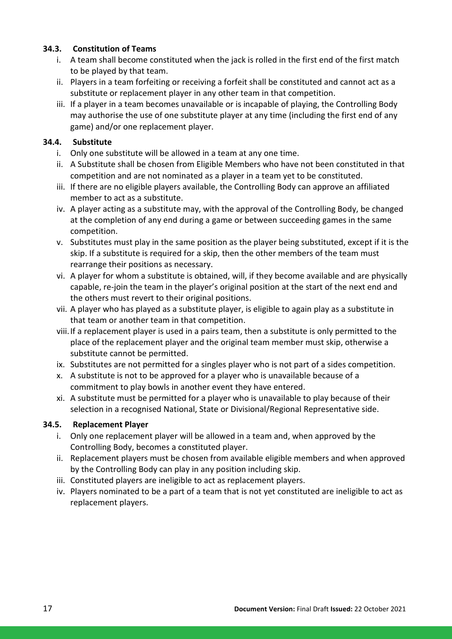### **34.3. Constitution of Teams**

- i. A team shall become constituted when the jack is rolled in the first end of the first match to be played by that team.
- ii. Players in a team forfeiting or receiving a forfeit shall be constituted and cannot act as a substitute or replacement player in any other team in that competition.
- iii. If a player in a team becomes unavailable or is incapable of playing, the Controlling Body may authorise the use of one substitute player at any time (including the first end of any game) and/or one replacement player.

### **34.4. Substitute**

- i. Only one substitute will be allowed in a team at any one time.
- ii. A Substitute shall be chosen from Eligible Members who have not been constituted in that competition and are not nominated as a player in a team yet to be constituted.
- iii. If there are no eligible players available, the Controlling Body can approve an affiliated member to act as a substitute.
- iv. A player acting as a substitute may, with the approval of the Controlling Body, be changed at the completion of any end during a game or between succeeding games in the same competition.
- v. Substitutes must play in the same position as the player being substituted, except if it is the skip. If a substitute is required for a skip, then the other members of the team must rearrange their positions as necessary.
- vi. A player for whom a substitute is obtained, will, if they become available and are physically capable, re-join the team in the player's original position at the start of the next end and the others must revert to their original positions.
- vii. A player who has played as a substitute player, is eligible to again play as a substitute in that team or another team in that competition.
- viii.If a replacement player is used in a pairs team, then a substitute is only permitted to the place of the replacement player and the original team member must skip, otherwise a substitute cannot be permitted.
- ix. Substitutes are not permitted for a singles player who is not part of a sides competition.
- x. A substitute is not to be approved for a player who is unavailable because of a commitment to play bowls in another event they have entered.
- xi. A substitute must be permitted for a player who is unavailable to play because of their selection in a recognised National, State or Divisional/Regional Representative side.

### **34.5. Replacement Player**

- i. Only one replacement player will be allowed in a team and, when approved by the Controlling Body, becomes a constituted player.
- ii. Replacement players must be chosen from available eligible members and when approved by the Controlling Body can play in any position including skip.
- iii. Constituted players are ineligible to act as replacement players.
- iv. Players nominated to be a part of a team that is not yet constituted are ineligible to act as replacement players.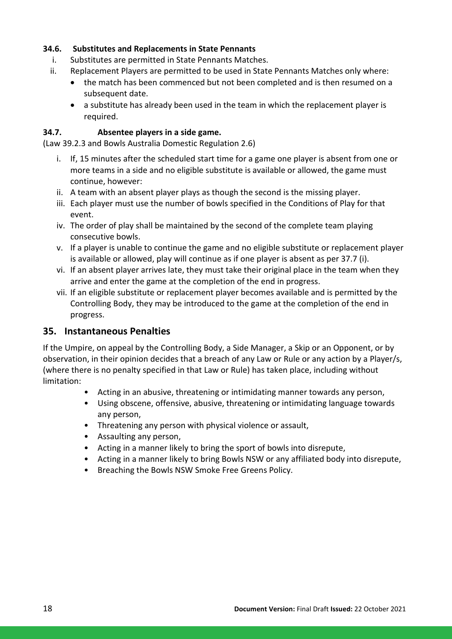#### **34.6. Substitutes and Replacements in State Pennants**

- i. Substitutes are permitted in State Pennants Matches.
- ii. Replacement Players are permitted to be used in State Pennants Matches only where:
	- the match has been commenced but not been completed and is then resumed on a subsequent date.
	- a substitute has already been used in the team in which the replacement player is required.

#### **34.7. Absentee players in a side game.**

(Law 39.2.3 and Bowls Australia Domestic Regulation 2.6)

- i. If, 15 minutes after the scheduled start time for a game one player is absent from one or more teams in a side and no eligible substitute is available or allowed, the game must continue, however:
- ii. A team with an absent player plays as though the second is the missing player.
- iii. Each player must use the number of bowls specified in the Conditions of Play for that event.
- iv. The order of play shall be maintained by the second of the complete team playing consecutive bowls.
- v. If a player is unable to continue the game and no eligible substitute or replacement player is available or allowed, play will continue as if one player is absent as per 37.7 (i).
- vi. If an absent player arrives late, they must take their original place in the team when they arrive and enter the game at the completion of the end in progress.
- vii. If an eligible substitute or replacement player becomes available and is permitted by the Controlling Body, they may be introduced to the game at the completion of the end in progress.

### **35. Instantaneous Penalties**

If the Umpire, on appeal by the Controlling Body, a Side Manager, a Skip or an Opponent, or by observation, in their opinion decides that a breach of any Law or Rule or any action by a Player/s, (where there is no penalty specified in that Law or Rule) has taken place, including without limitation:

- Acting in an abusive, threatening or intimidating manner towards any person,
- Using obscene, offensive, abusive, threatening or intimidating language towards any person,
- Threatening any person with physical violence or assault,
- Assaulting any person,
- Acting in a manner likely to bring the sport of bowls into disrepute,
- Acting in a manner likely to bring Bowls NSW or any affiliated body into disrepute,
- Breaching the Bowls NSW Smoke Free Greens Policy.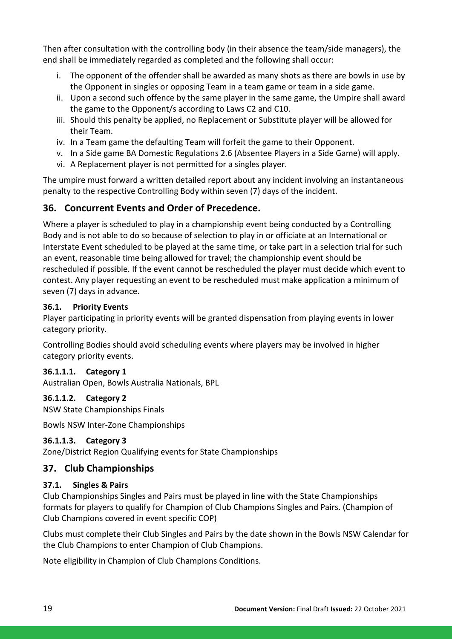Then after consultation with the controlling body (in their absence the team/side managers), the end shall be immediately regarded as completed and the following shall occur:

- i. The opponent of the offender shall be awarded as many shots as there are bowls in use by the Opponent in singles or opposing Team in a team game or team in a side game.
- ii. Upon a second such offence by the same player in the same game, the Umpire shall award the game to the Opponent/s according to Laws C2 and C10.
- iii. Should this penalty be applied, no Replacement or Substitute player will be allowed for their Team.
- iv. In a Team game the defaulting Team will forfeit the game to their Opponent.
- v. In a Side game BA Domestic Regulations 2.6 (Absentee Players in a Side Game) will apply.
- vi. A Replacement player is not permitted for a singles player.

The umpire must forward a written detailed report about any incident involving an instantaneous penalty to the respective Controlling Body within seven (7) days of the incident.

# **36. Concurrent Events and Order of Precedence.**

Where a player is scheduled to play in a championship event being conducted by a Controlling Body and is not able to do so because of selection to play in or officiate at an International or Interstate Event scheduled to be played at the same time, or take part in a selection trial for such an event, reasonable time being allowed for travel; the championship event should be rescheduled if possible. If the event cannot be rescheduled the player must decide which event to contest. Any player requesting an event to be rescheduled must make application a minimum of seven (7) days in advance.

### **36.1. Priority Events**

Player participating in priority events will be granted dispensation from playing events in lower category priority.

Controlling Bodies should avoid scheduling events where players may be involved in higher category priority events.

### **36.1.1.1. Category 1**

Australian Open, Bowls Australia Nationals, BPL

#### **36.1.1.2. Category 2**

NSW State Championships Finals

Bowls NSW Inter-Zone Championships

### **36.1.1.3. Category 3**

Zone/District Region Qualifying events for State Championships

### **37. Club Championships**

### **37.1. Singles & Pairs**

Club Championships Singles and Pairs must be played in line with the State Championships formats for players to qualify for Champion of Club Champions Singles and Pairs. (Champion of Club Champions covered in event specific COP)

Clubs must complete their Club Singles and Pairs by the date shown in the Bowls NSW Calendar for the Club Champions to enter Champion of Club Champions.

Note eligibility in Champion of Club Champions Conditions.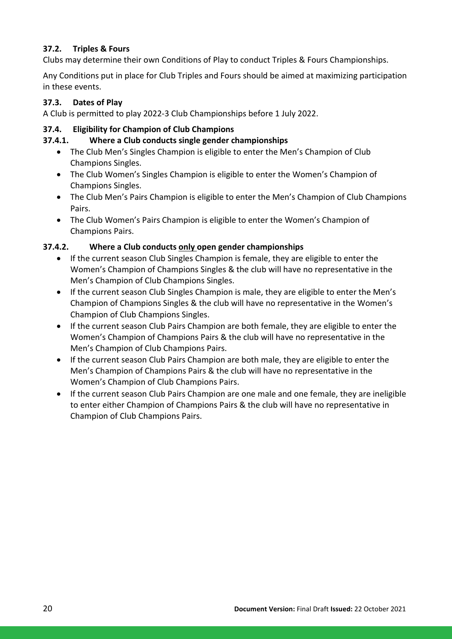### **37.2. Triples & Fours**

Clubs may determine their own Conditions of Play to conduct Triples & Fours Championships.

Any Conditions put in place for Club Triples and Fours should be aimed at maximizing participation in these events.

### **37.3. Dates of Play**

A Club is permitted to play 2022-3 Club Championships before 1 July 2022.

### **37.4. Eligibility for Champion of Club Champions**

### **37.4.1. Where a Club conducts single gender championships**

- The Club Men's Singles Champion is eligible to enter the Men's Champion of Club Champions Singles.
- The Club Women's Singles Champion is eligible to enter the Women's Champion of Champions Singles.
- The Club Men's Pairs Champion is eligible to enter the Men's Champion of Club Champions Pairs.
- The Club Women's Pairs Champion is eligible to enter the Women's Champion of Champions Pairs.

### **37.4.2. Where a Club conducts only open gender championships**

- If the current season Club Singles Champion is female, they are eligible to enter the Women's Champion of Champions Singles & the club will have no representative in the Men's Champion of Club Champions Singles.
- If the current season Club Singles Champion is male, they are eligible to enter the Men's Champion of Champions Singles & the club will have no representative in the Women's Champion of Club Champions Singles.
- If the current season Club Pairs Champion are both female, they are eligible to enter the Women's Champion of Champions Pairs & the club will have no representative in the Men's Champion of Club Champions Pairs.
- If the current season Club Pairs Champion are both male, they are eligible to enter the Men's Champion of Champions Pairs & the club will have no representative in the Women's Champion of Club Champions Pairs.
- If the current season Club Pairs Champion are one male and one female, they are ineligible to enter either Champion of Champions Pairs & the club will have no representative in Champion of Club Champions Pairs.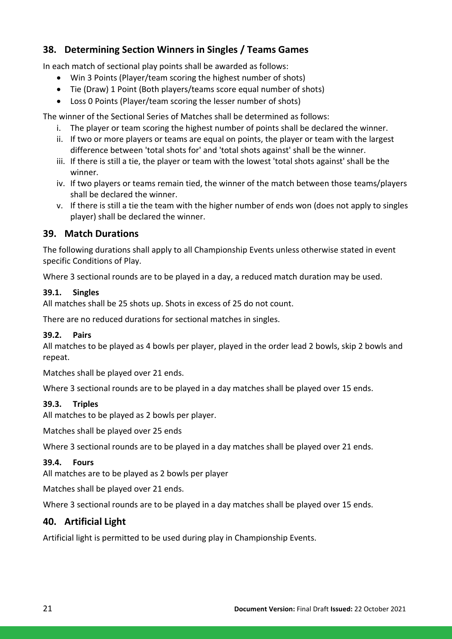# **38. Determining Section Winners in Singles / Teams Games**

In each match of sectional play points shall be awarded as follows:

- Win 3 Points (Player/team scoring the highest number of shots)
- Tie (Draw) 1 Point (Both players/teams score equal number of shots)
- Loss 0 Points (Player/team scoring the lesser number of shots)

The winner of the Sectional Series of Matches shall be determined as follows:

- i. The player or team scoring the highest number of points shall be declared the winner.
- ii. If two or more players or teams are equal on points, the player or team with the largest difference between 'total shots for' and 'total shots against' shall be the winner.
- iii. If there is still a tie, the player or team with the lowest 'total shots against' shall be the winner.
- iv. If two players or teams remain tied, the winner of the match between those teams/players shall be declared the winner.
- v. If there is still a tie the team with the higher number of ends won (does not apply to singles player) shall be declared the winner.

### **39. Match Durations**

The following durations shall apply to all Championship Events unless otherwise stated in event specific Conditions of Play.

Where 3 sectional rounds are to be played in a day, a reduced match duration may be used.

#### **39.1. Singles**

All matches shall be 25 shots up. Shots in excess of 25 do not count.

There are no reduced durations for sectional matches in singles.

### **39.2. Pairs**

All matches to be played as 4 bowls per player, played in the order lead 2 bowls, skip 2 bowls and repeat.

Matches shall be played over 21 ends.

Where 3 sectional rounds are to be played in a day matches shall be played over 15 ends.

### **39.3. Triples**

All matches to be played as 2 bowls per player.

Matches shall be played over 25 ends

Where 3 sectional rounds are to be played in a day matches shall be played over 21 ends.

### **39.4. Fours**

All matches are to be played as 2 bowls per player

Matches shall be played over 21 ends.

Where 3 sectional rounds are to be played in a day matches shall be played over 15 ends.

### **40. Artificial Light**

Artificial light is permitted to be used during play in Championship Events.